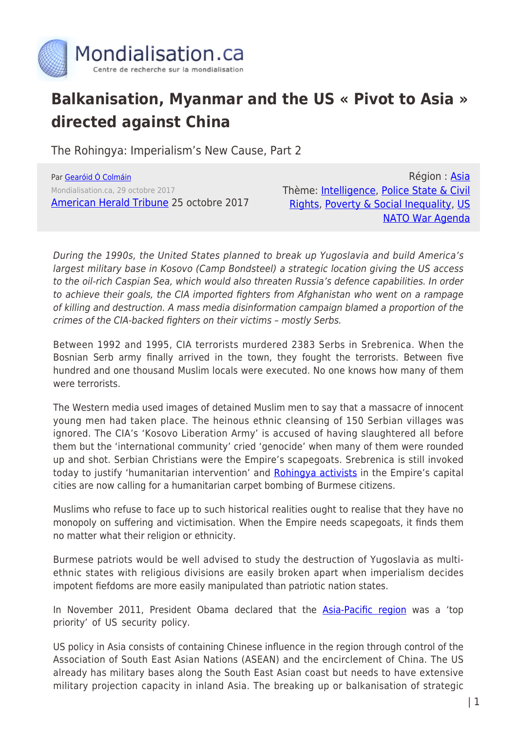

## **Balkanisation, Myanmar and the US « Pivot to Asia » directed against China**

The Rohingya: Imperialism's New Cause, Part 2

Par [Gearóid Ó Colmáin](https://www.mondialisation.ca/author/gear-id-colm-in) Mondialisation.ca, 29 octobre 2017 [American Herald Tribune](https://ahtribune.com/world/asia-pacific/rohingya-genocide/1972-balkanisation-asia.html) 25 octobre 2017

Région : [Asia](https://www.mondialisation.ca/region/asia-as) Thème: [Intelligence,](https://www.mondialisation.ca/theme/intelligence-as) [Police State & Civil](https://www.mondialisation.ca/theme/police-state-civil-rights-as) [Rights,](https://www.mondialisation.ca/theme/police-state-civil-rights-as) [Poverty & Social Inequality,](https://www.mondialisation.ca/theme/poverty-social-inequality-as) [US](https://www.mondialisation.ca/theme/us-nato-war-agenda-as) [NATO War Agenda](https://www.mondialisation.ca/theme/us-nato-war-agenda-as)

During the 1990s, the United States planned to break up Yugoslavia and build America's largest military base in Kosovo (Camp Bondsteel) a strategic location giving the US access to the oil-rich Caspian Sea, which would also threaten Russia's defence capabilities. In order to achieve their goals, the CIA imported fighters from Afghanistan who went on a rampage of killing and destruction. A mass media disinformation campaign blamed a proportion of the crimes of the CIA-backed fighters on their victims – mostly Serbs.

Between 1992 and 1995, CIA terrorists murdered 2383 Serbs in Srebrenica. When the Bosnian Serb army finally arrived in the town, they fought the terrorists. Between five hundred and one thousand Muslim locals were executed. No one knows how many of them were terrorists.

The Western media used images of detained Muslim men to say that a massacre of innocent young men had taken place. The heinous ethnic cleansing of 150 Serbian villages was ignored. The CIA's 'Kosovo Liberation Army' is accused of having slaughtered all before them but the 'international community' cried 'genocide' when many of them were rounded up and shot. Serbian Christians were the Empire's scapegoats. Srebrenica is still invoked today to justify 'humanitarian intervention' and [Rohingya activists](https://www.youtube.com/watch?v=VVqaZA9xJuw&feature=share) in the Empire's capital cities are now calling for a humanitarian carpet bombing of Burmese citizens.

Muslims who refuse to face up to such historical realities ought to realise that they have no monopoly on suffering and victimisation. When the Empire needs scapegoats, it finds them no matter what their religion or ethnicity.

Burmese patriots would be well advised to study the destruction of Yugoslavia as multiethnic states with religious divisions are easily broken apart when imperialism decides impotent fiefdoms are more easily manipulated than patriotic nation states.

In November 2011, President Obama declared that the **Asia-Pacific region** was a 'top priority' of US security policy.

US policy in Asia consists of containing Chinese influence in the region through control of the Association of South East Asian Nations (ASEAN) and the encirclement of China. The US already has military bases along the South East Asian coast but needs to have extensive military projection capacity in inland Asia. The breaking up or balkanisation of strategic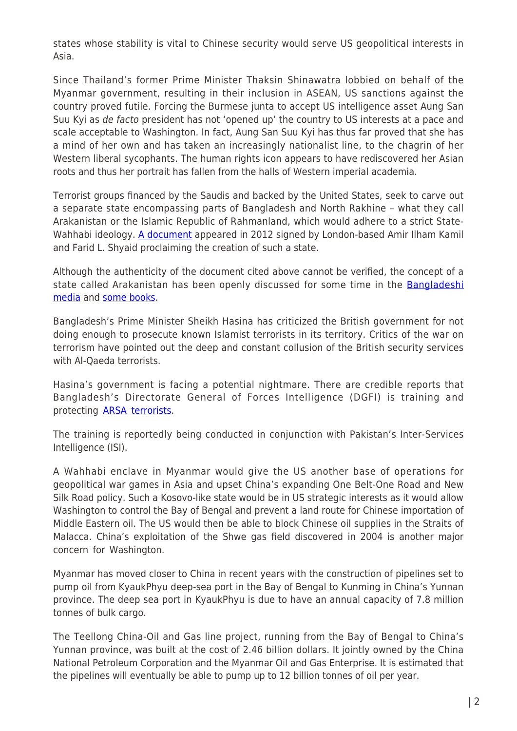states whose stability is vital to Chinese security would serve US geopolitical interests in Asia.

Since Thailand's former Prime Minister Thaksin Shinawatra lobbied on behalf of the Myanmar government, resulting in their inclusion in ASEAN, US sanctions against the country proved futile. Forcing the Burmese junta to accept US intelligence asset Aung San Suu Kyi as de facto president has not 'opened up' the country to US interests at a pace and scale acceptable to Washington. In fact, Aung San Suu Kyi has thus far proved that she has a mind of her own and has taken an increasingly nationalist line, to the chagrin of her Western liberal sycophants. The human rights icon appears to have rediscovered her Asian roots and thus her portrait has fallen from the halls of Western imperial academia.

Terrorist groups financed by the Saudis and backed by the United States, seek to carve out a separate state encompassing parts of Bangladesh and North Rakhine – what they call Arakanistan or the Islamic Republic of Rahmanland, which would adhere to a strict State-Wahhabi ideology. [A document](https://andy1890.files.wordpress.com/2012/08/proclamation-of-rohingya-independence.jpg) appeared in 2012 signed by London-based Amir Ilham Kamil and Farid L. Shyaid proclaiming the creation of such a state.

Although the authenticity of the document cited above cannot be verified, the concept of a state called Arakanistan has been openly discussed for some time in the [Bangladeshi](http://www.adibashibarta.com/home/details/3887/) [media](http://www.adibashibarta.com/home/details/3887/) and [some books.](https://books.google.com/books?id=pGClDAAAQBAJ&pg=PA353&lpg=PA353&dq=Rahmanland&source=bl&ots=clwdWwE3BX&sig=dwLdPsSOGJr21_JladXfvcFl2CU&hl=en&sa=X&ved=0ahUKEwio7cSe1IvXAhVLziYKHaXzDY4Q6AEIYTAL#v=onepage&q=Rahmanland&f=false)

Bangladesh's Prime Minister Sheikh Hasina has criticized the British government for not doing enough to prosecute known Islamist terrorists in its territory. Critics of the war on terrorism have pointed out the deep and constant collusion of the British security services with Al-Qaeda terrorists.

Hasina's government is facing a potential nightmare. There are credible reports that Bangladesh's Directorate General of Forces Intelligence (DGFI) is training and protecting [ARSA terrorists](http://lookeast.in/dgfi-backs-arsa-but-police-hunt-for-them/).

The training is reportedly being conducted in conjunction with Pakistan's Inter-Services Intelligence (ISI).

A Wahhabi enclave in Myanmar would give the US another base of operations for geopolitical war games in Asia and upset China's expanding One Belt-One Road and New Silk Road policy. Such a Kosovo-like state would be in US strategic interests as it would allow Washington to control the Bay of Bengal and prevent a land route for Chinese importation of Middle Eastern oil. The US would then be able to block Chinese oil supplies in the Straits of Malacca. China's exploitation of the Shwe gas field discovered in 2004 is another major concern for Washington.

Myanmar has moved closer to China in recent years with the construction of pipelines set to pump oil from KyaukPhyu deep-sea port in the Bay of Bengal to Kunming in China's Yunnan province. The deep sea port in KyaukPhyu is due to have an annual capacity of 7.8 million tonnes of bulk cargo.

The Teellong China-Oil and Gas line project, running from the Bay of Bengal to China's Yunnan province, was built at the cost of 2.46 billion dollars. It jointly owned by the China National Petroleum Corporation and the Myanmar Oil and Gas Enterprise. It is estimated that the pipelines will eventually be able to pump up to 12 billion tonnes of oil per year.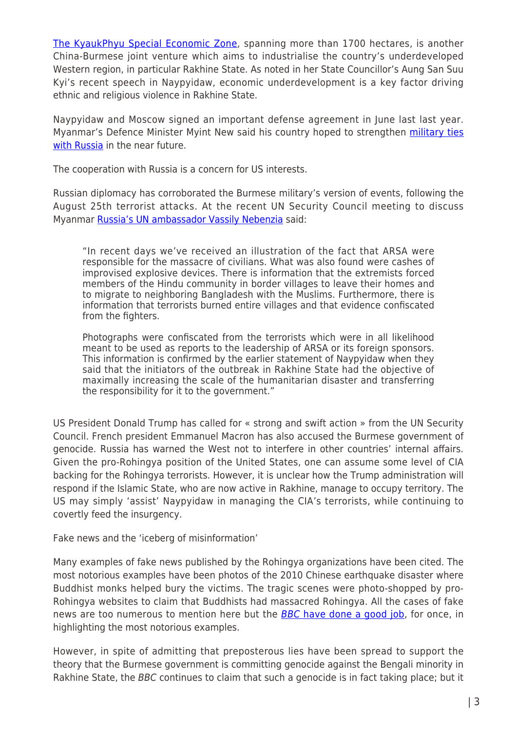[The KyaukPhyu Special Economic Zone](http://www.scmp.com/news/china/diplomacy-defence/article/2112366/economic-stakes-china-myanmars-restive-rakhine), spanning more than 1700 hectares, is another China-Burmese joint venture which aims to industrialise the country's underdeveloped Western region, in particular Rakhine State. As noted in her State Councillor's Aung San Suu Kyi's recent speech in Naypyidaw, economic underdevelopment is a key factor driving ethnic and religious violence in Rakhine State.

Naypyidaw and Moscow signed an important defense agreement in June last last year. Myanmar's Defence Minister Myint New said his country hoped to strengthen [military ties](http://tass.com/defense/882419) [with Russia](http://tass.com/defense/882419) in the near future.

The cooperation with Russia is a concern for US interests.

Russian diplomacy has corroborated the Burmese military's version of events, following the August 25th terrorist attacks. At the recent UN Security Council meeting to discuss Myanmar [Russia's UN ambassador Vassily Nebenzia](http://21stcenturywire.com/2017/09/30/china-russia-urge-diplomatic-media-objectivity-myanmar/) said:

"In recent days we've received an illustration of the fact that ARSA were responsible for the massacre of civilians. What was also found were cashes of improvised explosive devices. There is information that the extremists forced members of the Hindu community in border villages to leave their homes and to migrate to neighboring Bangladesh with the Muslims. Furthermore, there is information that terrorists burned entire villages and that evidence confiscated from the fighters.

Photographs were confiscated from the terrorists which were in all likelihood meant to be used as reports to the leadership of ARSA or its foreign sponsors. This information is confirmed by the earlier statement of Naypyidaw when they said that the initiators of the outbreak in Rakhine State had the objective of maximally increasing the scale of the humanitarian disaster and transferring the responsibility for it to the government."

US President Donald Trump has called for « strong and swift action » from the UN Security Council. French president Emmanuel Macron has also accused the Burmese government of genocide. Russia has warned the West not to interfere in other countries' internal affairs. Given the pro-Rohingya position of the United States, one can assume some level of CIA backing for the Rohingya terrorists. However, it is unclear how the Trump administration will respond if the Islamic State, who are now active in Rakhine, manage to occupy territory. The US may simply 'assist' Naypyidaw in managing the CIA's terrorists, while continuing to covertly feed the insurgency.

Fake news and the 'iceberg of misinformation'

Many examples of fake news published by the Rohingya organizations have been cited. The most notorious examples have been photos of the 2010 Chinese earthquake disaster where Buddhist monks helped bury the victims. The tragic scenes were photo-shopped by pro-Rohingya websites to claim that Buddhists had massacred Rohingya. All the cases of fake news are too numerous to mention here but the [BBC](http://www.bbc.com/news/blogs-trending-32979147) [have done a good job,](http://www.bbc.com/news/blogs-trending-32979147) for once, in highlighting the most notorious examples.

However, in spite of admitting that preposterous lies have been spread to support the theory that the Burmese government is committing genocide against the Bengali minority in Rakhine State, the BBC continues to claim that such a genocide is in fact taking place; but it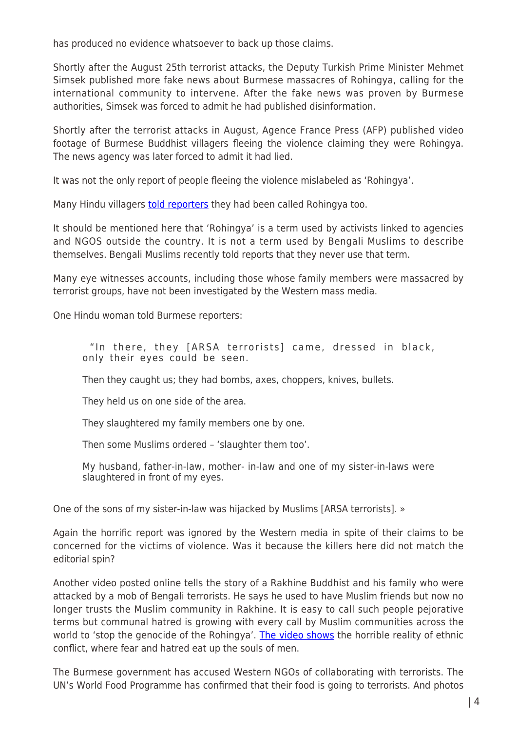has produced no evidence whatsoever to back up those claims.

Shortly after the August 25th terrorist attacks, the Deputy Turkish Prime Minister Mehmet Simsek published more fake news about Burmese massacres of Rohingya, calling for the international community to intervene. After the fake news was proven by Burmese authorities, Simsek was forced to admit he had published disinformation.

Shortly after the terrorist attacks in August, Agence France Press (AFP) published video footage of Burmese Buddhist villagers fleeing the violence claiming they were Rohingya. The news agency was later forced to admit it had lied.

It was not the only report of people fleeing the violence mislabeled as 'Rohingya'.

Many Hindu villagers [told reporters](https://soundcloud.com/burmeserfa/rsk1g4fk2v38) they had been called Rohingya too.

It should be mentioned here that 'Rohingya' is a term used by activists linked to agencies and NGOS outside the country. It is not a term used by Bengali Muslims to describe themselves. Bengali Muslims recently told reports that they never use that term.

Many eye witnesses accounts, including those whose family members were massacred by terrorist groups, have not been investigated by the Western mass media.

One Hindu woman told Burmese reporters:

 "In there, they [ARSA terrorists] came, dressed in black, only their eyes could be seen.

Then they caught us; they had bombs, axes, choppers, knives, bullets.

They held us on one side of the area.

They slaughtered my family members one by one.

Then some Muslims ordered – 'slaughter them too'.

My husband, father-in-law, mother- in-law and one of my sister-in-laws were slaughtered in front of my eyes.

One of the sons of my sister-in-law was hijacked by Muslims [ARSA terrorists]. »

Again the horrific report was ignored by the Western media in spite of their claims to be concerned for the victims of violence. Was it because the killers here did not match the editorial spin?

Another video posted online tells the story of a Rakhine Buddhist and his family who were attacked by a mob of Bengali terrorists. He says he used to have Muslim friends but now no longer trusts the Muslim community in Rakhine. It is easy to call such people pejorative terms but communal hatred is growing with every call by Muslim communities across the world to 'stop the genocide of the Rohingya'. [The video shows](https://twitter.com/moe16kyaw/status/905054493489770498) the horrible reality of ethnic conflict, where fear and hatred eat up the souls of men.

The Burmese government has accused Western NGOs of collaborating with terrorists. The UN's World Food Programme has confirmed that their food is going to terrorists. And photos